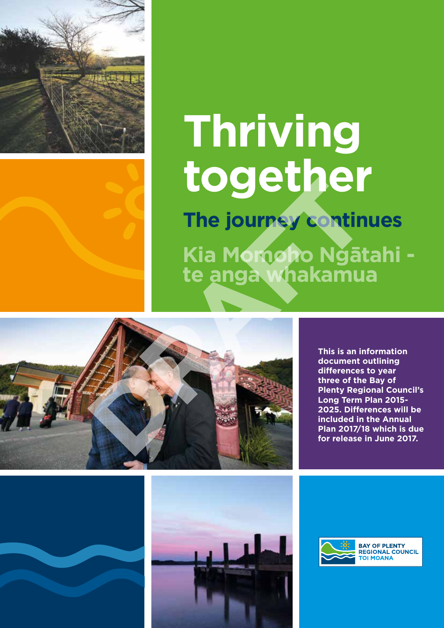

# **Thriving together**

**The journey continues Kia Momoho Ngātahi te anga whakamua**



**This is an information document outlining differences to year three of the Bay of Plenty Regional Council's Long Term Plan 2015- 2025. Differences will be included in the Annual Plan 2017/18 which is due for release in June 2017.**





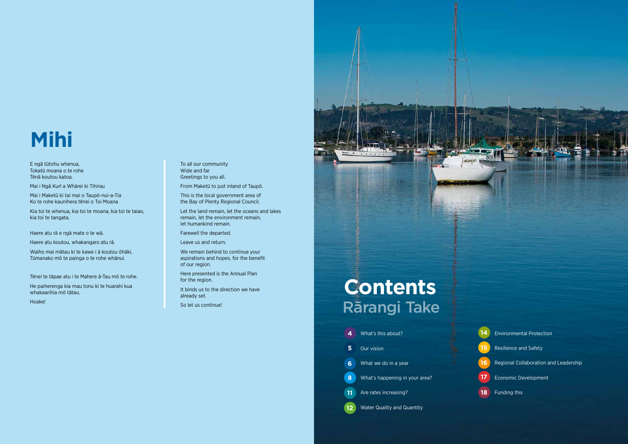2 3

### **Contents** So let us continue!<br>
Rārangi Take



| 4    | What's this about?                |
|------|-----------------------------------|
| 5    | <b>Our vision</b>                 |
| 6    | What we do in a year              |
| 8    | What's happening in your area?    |
| (11) | Are rates increasing?             |
|      | <b>Water Quality and Quantity</b> |

Environmental Protection Resilience and Safety Regional Collaboration and Leadership Economic Development



# **Mihi**

E ngā tūtohu whenua, Tokatū moana o te rohe Tēnā koutou katoa.

Mai i Ngā Kurī a Whārei ki Tihirau

Mai i Maketū ki tai mai o Taupō-nui-a-Tia Ko te rohe kaunihera tēnei o Toi Moana

Kia toi te whenua, kia toi te moana, kia toi te taiao, kia toi te tangata.

Haere atu rā e ngā mate o te wā.

Haere atu koutou, whakangaro atu rā.

Waiho mai mātau ki te kawe i ā koutou ōhāki, Tūmanako mō te painga o te rohe whānui.

Tēnei te tāpae atu i te Mahere ā-Tau mō te rohe.

He paiherenga kia mau tonu ki te huarahi kua whakaarihia mō tātau.

Hoake!

To all our community Wide and far Greetings to you all.

From Maketū to just inland of Taupō.

This is the local government area of the Bay of Plenty Regional Council.

Let the land remain, let the oceans and lakes remain, let the environment remain, let humankind remain.

Farewell the departed.

Leave us and return.

We remain behind to continue your aspirations and hopes, for the benefit of our region.

Here presented is the Annual Plan for the region.

It binds us to the direction we have already set.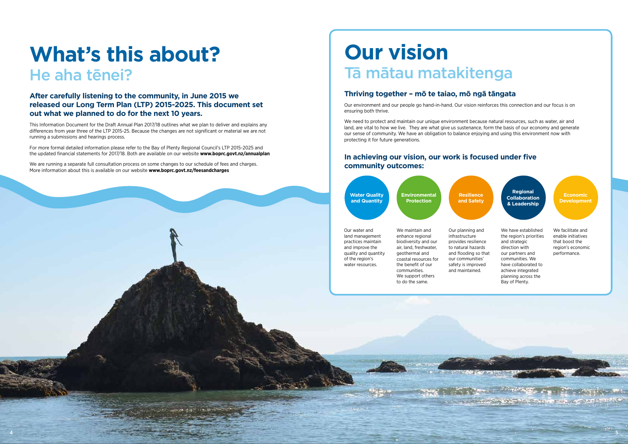

**OLD YAR SAME BOOK OF STATISTIC** 

## **What's this about?** He aha tēnei?

#### **After carefully listening to the community, in June 2015 we released our Long Term Plan (LTP) 2015-2025. This document set out what we planned to do for the next 10 years.**

This Information Document for the Draft Annual Plan 2017/18 outlines what we plan to deliver and explains any differences from year three of the LTP 2015-25. Because the changes are not significant or material we are not running a submissions and hearings process.

For more formal detailed information please refer to the Bay of Plenty Regional Council's LTP 2015-2025 and the updated financial statements for 2017/18. Both are available on our website **www.boprc.govt.nz/annualplan** We need to protect and maintain our unique environment because natural resources, such as water, air and land, are vital to how we live. They are what give us sustenance, form the basis of our economy and generate our sense of community. We have an obligation to balance enjoying and using this environment now with protecting it for future generations.

We are running a separate full consultation process on some changes to our schedule of fees and charges. More information about this is available on our website **www.boprc.govt.nz/feesandcharges** 

# **Our vision** Tā mātau matakitenga

### **Thriving together – mō te taiao, mō ngā tāngata**

Our environment and our people go hand-in-hand. Our vision reinforces this connection and our focus is on ensuring both thrive.

#### **In achieving our vision, our work is focused under five community outcomes:**

Our water and land management practices maintain and improve the quality and quantity of the region's water resources.

**Water Quality and Quantity Environmental Protection**

**Regional Collaboration & Leadership**

**Economic Development**

**Resilience and Safety**

We have established the region's priorities and strategic direction with our partners and communities. We have collaborated to achieve integrated planning across the Bay of Plenty.

We maintain and enhance regional biodiversity and our air, land, freshwater, geothermal and coastal resources for the benefit of our communities. We support others to do the same.

We facilitate and enable initiatives that boost the region's economic performance.

Our planning and infrastructure provides resilience to natural hazards and flooding so that our communities' safety is improved and maintained.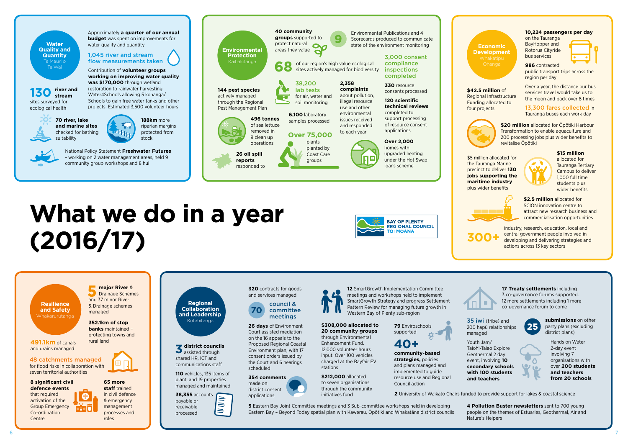

# **What we do in a year (2016/17)**



**320** contracts for goods and services managed council &



**26 days** of Environment Court assisted mediation on the 16 appeals to the Proposed Regional Coastal Environment plan, with 17 consent orders issued by the Court and 6 hearings scheduled

#### **354 comments** made on district consent

applications

**district councils 3** district council<br>assisted through shared HR, ICT and communications staff

> **5** Eastern Bay Joint Committee meetings and 3 Sub-committee workshops held in developing Eastern Bay – Beyond Today spatial plan with Kawerau, Ōpōtiki and Whakatāne district councils

**110** vehicles, 135 items of plant, and 19 properties managed and maintained

> $\equiv$  $\equiv$  $\equiv$

**38,355** accounts payable or receivable processed

**Regional Collaboration and Leadership**  Kotahitanga

**12** SmartGrowth Implementation Committee meetings and workshops held to implement SmartGrowth Strategy and progress Settlement Pattern Review for managing future growth in

Western Bay of Plenty sub-region



**\$308,000 allocated to 20 community groups** through Environmental Enhancement Fund. 12,000 volunteer hours input. Over 100 vehicles charged at the Bayfair EV

stations

**\$212,000** allocated to seven organisations through the community

initiatives fund

**79** Enviroschools supported

**40+**

**community-based strategies,** policies and plans managed and implemented to guide resource use and Regional

Council action

Youth Jam/ Taiohi-Taiao Explore Geothermal 2 day event, involving **10 secondary schools with 100 students and teachers** 

**2** University of Waikato Chairs funded to provide support for lakes & coastal science

**4 Pollution Buster newsletters** sent to 700 young people on the themes of Estuaries, Geothermal, Air and Nature's Helpers

35 iwi (tribe) and 200 hapū relationships managed





**17 Treaty settlements** including 3 co-governance forums supported. 12 more settlements including 1 more co-governance forum to come

> **submissions** on other party plans (excluding district plans)

Hands on Water 2-day event involving 7 organisations with over **200 students and teachers from 20 schools**

**\$20 million** allocated for Opotiki Harbour Transformation to enable aquaculture and 200 processing jobs plus wider benefits to revitalise Ōpōtiki



**8 significant civil defence events** that required activation of the Group Emergency Co-ordination **Centre** 

**491.1km** of canals rural land

#### **10,224 passengers per day**

on the Tauranga BayHopper and Rotorua Cityride bus services



**986** contracted public transport trips across the region per day

Over a year, the distance our bus services travel would take us to the moon and back over 8 times

13,300 fares collected in Tauranga buses each work day





**\$42.5 million** of Regional Infrastructure Funding allocated to

industry, research, education, local and central government people involved in developing and delivering strategies and actions across 13 key sectors



\$5 million allocated for the Tauranga Marine precinct to deliver **130 jobs supporting the maritime industry** plus wider benefits



**\$15 million** allocated for Tauranga Tertiary Campus to deliver 1,000 full time students plus wider benefits



**\$2.5 million** allocated for SCION innovation centre to attract new research business and commercialisation opportunities

**300+**

**Resilience and Safety**  Whakarurutanga

**352.1km of stop** 





and drains managed

**65 more** 

**staff** trained in civil defence & emergency management processes and roles

48 catchments managed for flood risks in collaboration with

seven territorial authorities

**major River** & **Drainage Schemes** and 37 minor River & Drainage schemes

managed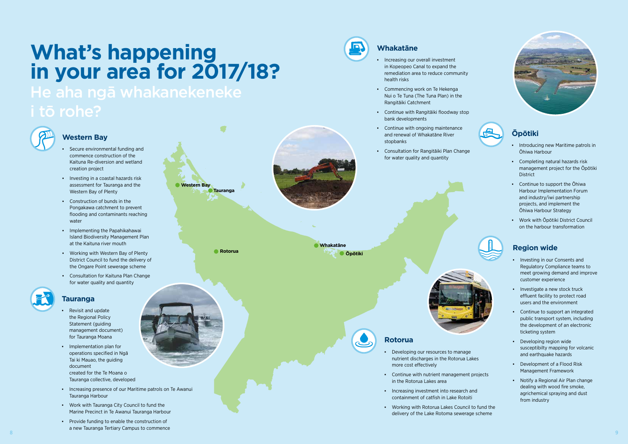### **What's happening in your area for 2017/18?**  He aha ngā whakanekeneke



#### **Tauranga**

- **Revisit and update** the Regional Policy Statement (guiding management document) for Tauranga Moana
- Implementation plan for operations specified in Ngā Tai ki Mauao, the guiding document created for the Te Moana o Tauranga collective, developed
- **Increasing presence of our Maritime patrols on Te Awanui** Tauranga Harbour
- Work with Tauranga City Council to fund the Marine Precinct in Te Awanui Tauranga Harbour
- Provide funding to enable the construction of a new Tauranga Tertiary Campus to commence 8 and 20 January 2014, and 2014 and 2014 and 2014 and 2014 and 2014 and 2014 and 2014 and 2014 and 2014 and 20



- Secure environmental funding and commence construction of the Kaituna Re-diversion and wetland creation project
- Investing in a coastal hazards risk assessment for Tauranga and the Western Bay of Plenty
- Construction of bunds in the Pongakawa catchment to prevent flooding and contaminants reaching water
- **•** Implementing the Papahikahawai Island Biodiversity Management Plan at the Kaituna river mouth
- Working with Western Bay of Plenty District Council to fund the delivery of the Ongare Point sewerage scheme
- Consultation for Kaituna Plan Change for water quality and quantity



#### **Western Bay**

- Increasing our overall investment in Kopeopeo Canal to expand the remediation area to reduce community health risks
- Commencing work on Te Hekenga Nui o Te Tuna (The Tuna Plan) in the Rangitāiki Catchment
- Continue with Rangitāiki floodway stop bank developments
- Continue with ongoing maintenance and renewal of Whakatāne River stopbanks
- Consultation for Rangitāiki Plan Change for water quality and quantity
- Introducing new Maritime patrols in Ōhiwa Harbour
- Completing natural hazards risk management project for the Ōpōtiki **District**
- Continue to support the Ōhiwa Harbour Implementation Forum and industry/iwi partnership projects, and implement the Ōhiwa Harbour Strategy
- Work with Ōpōtiki District Council on the harbour transformation





- 
- 
- 
- 

#### **Whakatāne**

- Developing our resources to manage nutrient discharges in the Rotorua Lakes more cost effectively
- Continue with nutrient management projects in the Rotorua Lakes area
- Increasing investment into research and containment of catfish in Lake Rotoiti
- Working with Rotorua Lakes Council to fund the delivery of the Lake Rotoma sewerage scheme





### **Ōpōtiki**

### **Region wide**

- Investing in our Consents and Regulatory Compliance teams to meet growing demand and improve customer experience
- **·** Investigate a new stock truck effluent facility to protect road users and the environment
- Continue to support an integrated public transport system, including the development of an electronic ticketing system
- Developing region wide susceptibilty mapping for volcanic and earthquake hazards
- Development of a Flood Risk Management Framework
- Notify a Regional Air Plan change dealing with wood fire smoke, agrichemical spraying and dust from industry

### **Rotorua**

**Western Bay**

**Tauranga**

**Rotorua**

**Whakatāne Ōpōtiki**

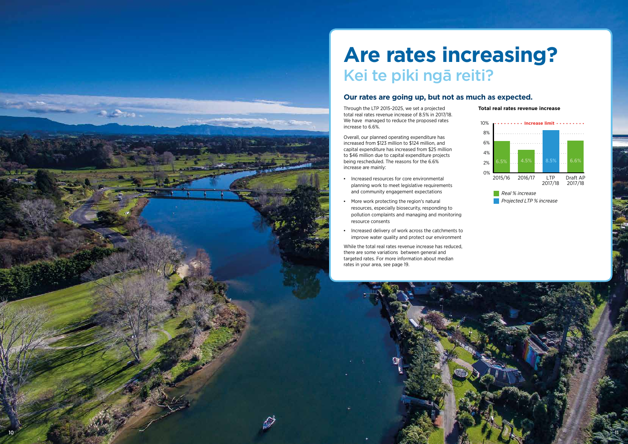### **Are rates increasing?** Kei te piki ngā reiti?

#### **Our rates are going up, but not as much as expected.**

Through the LTP 2015-2025, we set a projected total real rates revenue increase of 8.5% in 2017/18. We have managed to reduce the proposed rates increase to 6.6%.

Overall, our planned operating expenditure has increased from \$123 million to \$124 million, and capital expenditure has increased from \$25 million to \$46 million due to capital expenditure projects being rescheduled. The reasons for the 6.6% increase are mainly:

- Increased resources for core environmental planning work to meet legislative requirements and community engagement expectations
- More work protecting the region's natural resources, especially biosecurity, responding to pollution complaints and managing and monitoring resource consents
- Increased delivery of work across the catchments to improve water quality and protect our environment

While the total real rates revenue increase has reduced, there are some variations between general and targeted rates. For more information about median rates in your area, see page 19.

**Total real rates revenue increase**





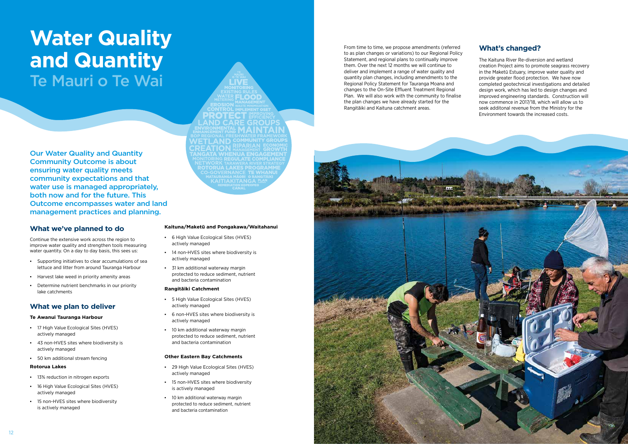

### **Water Quality and Quantity**  Te Mauri o Te Wai

**ND CARE GRO AITIAKITANGA** 

Our Water Quality and Quantity Community Outcome is about ensuring water quality meets community expectations and that water use is managed appropriately, both now and for the future. This Outcome encompasses water and land management practices and planning.

#### **What we've planned to do**

- 17 High Value Ecological Sites (HVES) actively managed
- 43 non-HVES sites where biodiversity is actively managed
- 50 km additional stream fencing

Continue the extensive work across the region to improve water quality and strengthen tools measuring water quantity. On a day to day basis, this sees us:

- 13% reduction in nitrogen exports
- 16 High Value Ecological Sites (HVES) actively managed
- **.** 15 non-HVES sites where biodiversity is actively managed
- Supporting initiatives to clear accumulations of sea lettuce and litter from around Tauranga Harbour
- Harvest lake weed in priority amenity areas
- Determine nutrient benchmarks in our priority lake catchments
- 6 High Value Ecological Sites (HVES) actively managed
- 14 non-HVES sites where biodiversity is actively managed
- 31 km additional waterway margin protected to reduce sediment, nutrient and bacteria contamination

#### **What we plan to deliver**

#### **Te Awanui Tauranga Harbour**

- 29 High Value Ecological Sites (HVES) actively managed
- **·** 15 non-HVES sites where biodiversity is actively managed
- 10 km additional waterway margin protected to reduce sediment, nutrient and bacteria contamination

#### **Rotorua Lakes**

#### **Kaituna/Maketū and Pongakawa/Waitahanui**

#### **Rangitāiki Catchment**

- 5 High Value Ecological Sites (HVES) actively managed
- 6 non-HVES sites where biodiversity is actively managed
- 10 km additional waterway margin protected to reduce sediment, nutrient and bacteria contamination

#### **Other Eastern Bay Catchments**

From time to time, we propose amendments (referred to as plan changes or variations) to our Regional Policy Statement, and regional plans to continually improve them. Over the next 12 months we will continue to deliver and implement a range of water quality and quantity plan changes, including amendments to the Regional Policy Statement for Tauranga Moana and changes to the On-Site Effluent Treatment Regional Plan. We will also work with the community to finalise the plan changes we have already started for the Rangitāiki and Kaituna catchment areas.

#### **What's changed?**

The Kaituna River Re-diversion and wetland creation Project aims to promote seagrass recovery in the Maketū Estuary, improve water quality and provide greater flood protection. We have now completed geotechnical investigations and detailed design work, which has led to design changes and improved engineering standards. Construction will now commence in 2017/18, which will allow us to seek additonal revenue from the Ministry for the Environment towards the increased costs.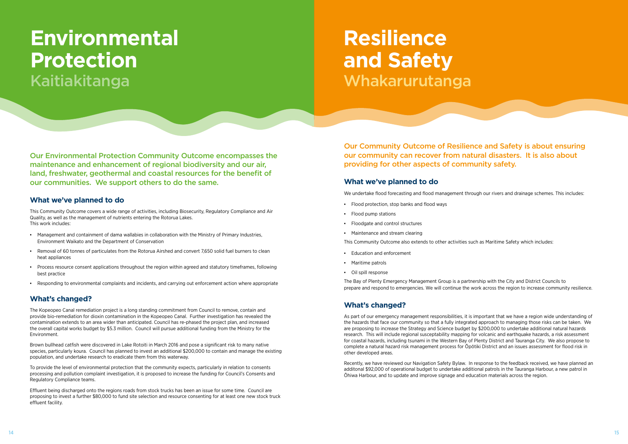Our Environmental Protection Community Outcome encompasses the maintenance and enhancement of regional biodiversity and our air, land, freshwater, geothermal and coastal resources for the benefit of our communities. We support others to do the same.

- Management and containment of dama wallabies in collaboration with the Ministry of Primary Industries, Environment Waikato and the Department of Conservation
- Removal of 60 tonnes of particulates from the Rotorua Airshed and convert 7,650 solid fuel burners to clean heat appliances
- Process resource consent applications throughout the region within agreed and statutory timeframes, following best practice
- Responding to environmental complaints and incidents, and carrying out enforcement action where appropriate

#### **What we've planned to do**

This Community Outcome covers a wide range of activities, including Biosecurity, Regulatory Compliance and Air Quality, as well as the management of nutrients entering the Rotorua Lakes. This work includes:

#### **What's changed?**

The Kopeopeo Canal remediation project is a long standing commitment from Council to remove, contain and provide bio-remediation for dioxin contamination in the Kopeopeo Canal. Further investigation has revealed the contamination extends to an area wider than anticipated. Council has re-phased the project plan, and increased the overall capital works budget by \$5.3 million. Council will pursue additional funding from the Ministry for the Environment.

Brown bullhead catfish were discovered in Lake Rotoiti in March 2016 and pose a significant risk to many native species, particularly koura. Council has planned to invest an additional \$200,000 to contain and manage the existing population, and undertake research to eradicate them from this waterway.

To provide the level of environmental protection that the community expects, particularly in relation to consents processing and pollution complaint investigation, it is proposed to increase the funding for Council's Consents and Regulatory Compliance teams.

Effluent being discharged onto the regions roads from stock trucks has been an issue for some time. Council are proposing to invest a further \$80,000 to fund site selection and resource consenting for at least one new stock truck effluent facility.

Our Community Outcome of Resilience and Safety is about ensuring our community can recover from natural disasters. It is also about providing for other aspects of community safety.

#### **What we've planned to do**

We undertake flood forecasting and flood management through our rivers and drainage schemes. This includes:

- Flood protection, stop banks and flood ways
- Flood pump stations
- Floodgate and control structures
- Maintenance and stream clearing

This Community Outcome also extends to other activities such as Maritime Safety which includes:

- Education and enforcement
- Maritime patrols
- Oil spill response

The Bay of Plenty Emergency Management Group is a partnership with the City and District Councils to prepare and respond to emergencies. We will continue the work across the region to increase community resilience.

#### **What's changed?**

As part of our emergency management responsibilities, it is important that we have a region wide understanding of the hazards that face our community so that a fully integrated approach to managing those risks can be taken. We are proposing to increase the Strategy and Science budget by \$200,000 to undertake additional natural hazards research. This will include regional susceptability mapping for volcanic and earthquake hazards, a risk assessment for coastal hazards, including tsunami in the Western Bay of Plenty District and Tauranga City. We also propose to complete a natural hazard risk management process for Ōpōtiki District and an issues assessment for flood risk in other developed areas.

Recently, we have reviewed our Navigation Safety Bylaw. In response to the feedback received, we have planned an additonal \$92,000 of operational budget to undertake additional patrols in the Tauranga Harbour, a new patrol in Ōhiwa Harbour, and to update and improve signage and education materials across the region.

### **Environmental Protection**  Kaitiakitanga

## **Resilience and Safety**  Whakarurutanga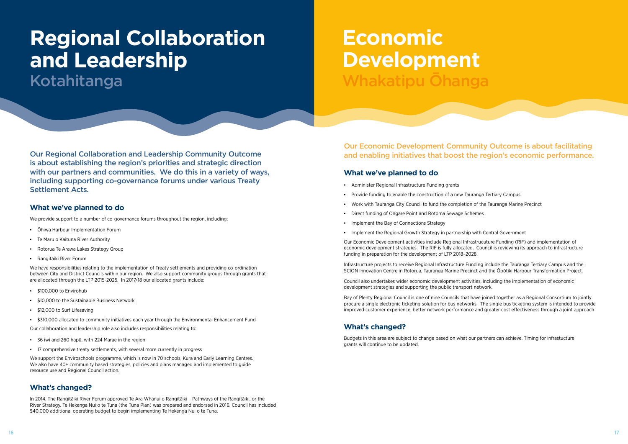

Our Regional Collaboration and Leadership Community Outcome is about establishing the region's priorities and strategic direction with our partners and communities. We do this in a variety of ways, including supporting co-governance forums under various Treaty Settlement Acts.

#### **What we've planned to do**

We provide support to a number of co-governance forums throughout the region, including:

- Ōhiwa Harbour Implementation Forum
- Te Maru o Kaituna River Authority
- Rotorua Te Arawa Lakes Strategy Group
- Rangitāiki River Forum

- \$100,000 to Envirohub
- \$10,000 to the Sustainable Business Network
- **\$12,000 to Surf Lifesaving**
- \$310,000 allocated to community initiatives each year through the Environmental Enhancement Fund

We have responsibilities relating to the implementation of Treaty settlements and providing co-ordination between City and District Councils within our region. We also support community groups through grants that are allocated through the LTP 2015-2025. In 2017/18 our allocated grants include:

We support the Enviroschools programme, which is now in 70 schools. Kura and Early Learning Centres. We also have 40+ community based strategies, policies and plans managed and implemented to guide resource use and Regional Council action.

Our collaboration and leadership role also includes responsibilities relating to:

- 36 iwi and 260 hapū, with 224 Marae in the region
- 17 comprehensive treaty settlements, with several more currently in progress

#### **What's changed?**

In 2014, The Rangitāiki River Forum approved Te Ara Whanui o Rangitāiki – Pathways of the Rangitāiki, or the River Strategy. Te Hekenga Nui o te Tuna (the Tuna Plan) was prepared and endorsed in 2016. Council has included \$40,000 additional operating budget to begin implementing Te Hekenga Nui o te Tuna.

### **Regional Collaboration and Leadership**  Kotahitanga

Our Economic Development Community Outcome is about facilitating and enabling initiatives that boost the region's economic performance.

#### **What we've planned to do**

- Administer Regional Infrastructure Funding grants
- Provide funding to enable the construction of a new Tauranga Tertiary Campus
- Work with Tauranga City Council to fund the completion of the Tauranga Marine Precinct
- Direct funding of Ongare Point and Rotomā Sewage Schemes
- **Implement the Bay of Connections Strategy**
- Implement the Regional Growth Strategy in partnership with Central Government

Our Economic Development activities include Regional Infrastrucuture Funding (RIF) and implementation of economic development strategies. The RIF is fully allocated. Council is reviewing its approach to infrastructure funding in preparation for the development of LTP 2018–2028.

Infrastructure projects to receive Regional Infrastructure Funding include the Tauranga Tertiary Campus and the SCION Innovation Centre in Rotorua, Tauranga Marine Precinct and the Ōpōtiki Harbour Transformation Project.

Council also undertakes wider economic development activities, including the implementation of economic development strategies and supporting the public transport network.

Bay of Plenty Regional Council is one of nine Councils that have joined together as a Regional Consortium to jointly procure a single electronic ticketing solution for bus networks. The single bus ticketing system is intended to provide improved customer experience, better network performance and greater cost effectiveness through a joint approach

#### **What's changed?**

Budgets in this area are subject to change based on what our partners can achieve. Timing for infrastucture grants will continue to be updated.

### **Economic Development** Whakatipu Ōhanga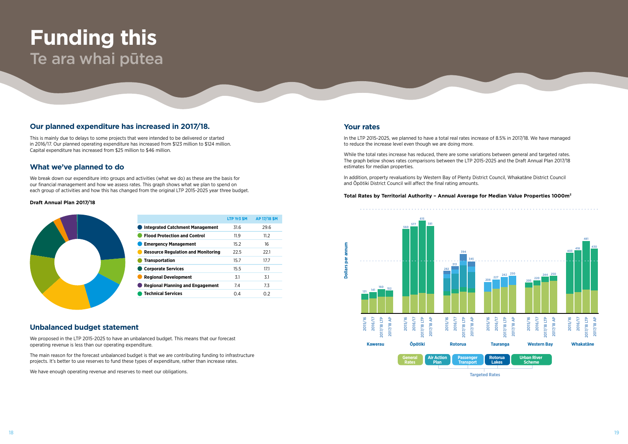#### **Our planned expenditure has increased in 2017/18.**

This is mainly due to delays to some projects that were intended to be delivered or started in 2016/17. Our planned operating expenditure has increased from \$123 million to \$124 million. Capital expenditure has increased from \$25 million to \$46 million.

#### **What we've planned to do**

We break down our expenditure into groups and activities (what we do) as these are the basis for our financial management and how we assess rates. This graph shows what we plan to spend on each group of activities and how this has changed from the original LTP 2015-2025 year three budget.

#### **Unbalanced budget statement**

We proposed in the LTP 2015-2025 to have an unbalanced budget. This means that our forecast operating revenue is less than our operating expenditure.

The main reason for the forecast unbalanced budget is that we are contributing funding to infrastructure projects. It's better to use reserves to fund these types of expenditure, rather than increase rates.

We have enough operating revenue and reserves to meet our obligations.

#### **Draft Annual Plan 2017/18**



|                                           | LTP Yr3 \$M | AP 17/18 \$M |
|-------------------------------------------|-------------|--------------|
| <b>Integrated Catchment Management</b>    | 31.6        | 29.6         |
| <b>Flood Protection and Control</b>       | 11.9        | 11.2         |
| <b>Emergency Management</b>               | 15.2        | 16           |
| <b>Resource Regulation and Monitoring</b> | 22.5        | 22.1         |
| <b>Transportation</b>                     | 15.7        | 17.7         |
| <b>Corporate Services</b>                 | 15.5        | 17.1         |
| <b>Regional Development</b>               | 3.1         | 3.1          |
| <b>Regional Planning and Engagement</b>   | 7.4         | 7.3          |
| <b>Technical Services</b>                 | 0.4         | 0.2          |

### **Funding this**  Te ara whai pūtea

#### **Your rates**

In the LTP 2015-2025, we planned to have a total real rates increase of 8.5% in 2017/18. We have managed to reduce the increase level even though we are doing more.

While the total rates increase has reduced, there are some variations between general and targeted rates. The graph below shows rates comparisons between the LTP 2015-2025 and the Draft Annual Plan 2017/18 estimates for median properties.

In addition, property revaluations by Western Bay of Plenty District Council, Whakatāne District Council and Ōpōtiki District Council will affect the final rating amounts.

#### **Total Rates by Territorial Authority – Annual Average for Median Value Properties 1000m²**



**Targeted Rates**

**Dollars per annum**

g

**Dollars**